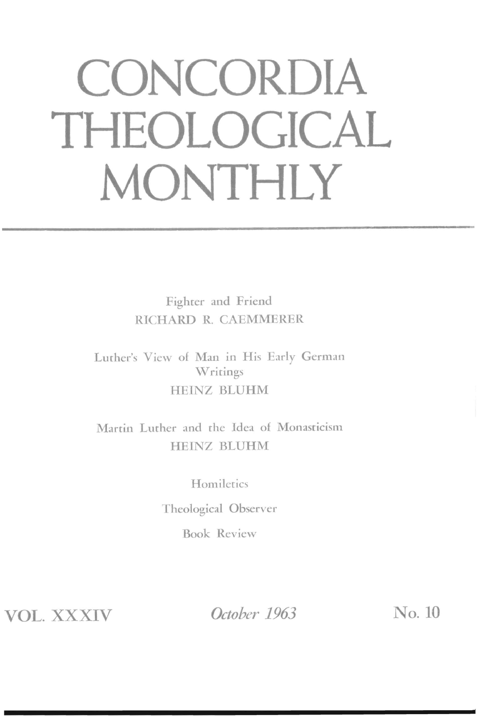# **CONCORDIA THEOLOGICAL MONTHLY**

Fighrer and Friend RICHARD R. CAEMMERER

Lorher's View of Man in His Early German Writings HEINZ BLUHM

Marrin Lurher and the Idea of Monasticism HEINZ BLUHM

Homiletics

Theological Observer

Book Review

VOL. XXXIV *October 1963* No. 10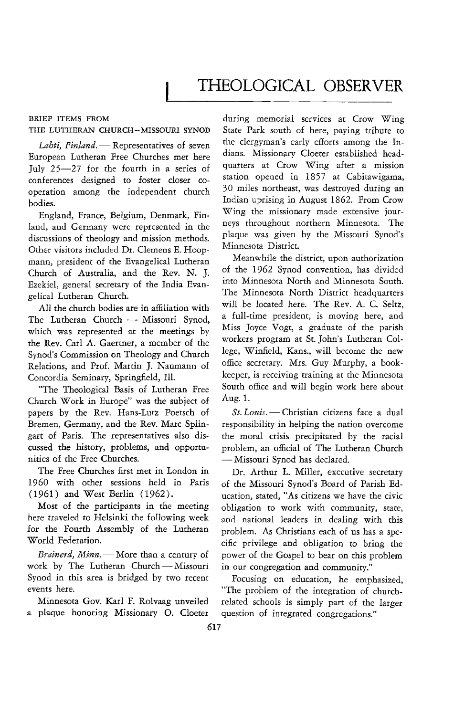## **THEOLOGICAL OBSERVER**

### BRIEF ITEMS FROM

#### THE LUTHERAN CHURCH-MISSOURI SYNOD

*Lahti, Finland.* - Representatives of seven European Lutheran Free Churches met here July 25-27 for the fourth in a series of conferences designed to foster closer cooperation among the independent church bodies.

England, France, Belgium, Denmark, Finland, and Germany were represented in the discussions of theology and mission methods. Other visitors included Dr. Clemens E. Hoopmann, president of the Evangelical Lutheran Church of Australia, and the Rev. N. J. Ezekiel, general secretary of the India Evangelical Lutheran Church.

All the church bodies are in affiliation with The Lutheran Church - Missouri Synod, which was represented at the meetings by the Rev. Carl A. Gaertner, a member of the Synod's Commission on Theology and Church Relations, and Prof. Martin J. Naumann of Concordia Seminary, Springfield, Ill.

"The Theological Basis of Lutheran Free Church Work in Europe" was the subject of papers by the Rev. Hans-Lutz Poetsch of Bremen, Germany, and the Rev. Marc Splingart of Paris. The representatives also discussed the history, problems, and opportunities of the Free Churches.

The Free Churches first met in London in 1960 with other sessions held in Paris (1961) and West Berlin (1962).

Most of the participants in the meeting here traveled to Helsinki the following week for the Fourth Assembly of the Lutheran World Federation.

*Brainerd, Minn.* - More than a century of work by The Lutheran Church - Missouri Synod in this area is bridged by two recent events here.

Minnesota Gov. Karl F. Rolvaag unveiled a plaque honoring Missionary O. Cloeter

during memorial services at Crow Wing State Park south of here, paying tribute to the clergyman's early efforts among the Indians. Missionary Cloeter established headquarters at Crow Wing after a mission station opened in 1857 at Cabitawigama, 30 miles northeast, was destroyed during an Indian uprising in August 1862. From Crow Wing the missionary made extensive journeys throughout northern Minnesota. The plaque was given by the Missouri Synod's Minnesota District.

Meanwhile the district, upon authorization of the 1962 Synod convention, has divided into Minnesota North and Minnesota South. The Minnesota North District headquarters will be located here. The Rev. A. C. Seltz, a full-time president, is moving here, and Miss Joyce Vogt, a graduate of the parish workers program at St. John's Lutheran College, Winfield, Kans., will become the new office secretary. Mrs. Guy Murphy, a bookkeeper, is receiving training at the Minnesota South office and will begin work here about Aug. 1.

St. Louis. - Christian citizens face a dual responsibility in helping the nation overcome the moral crisis precipitated by the racial problem, an official of The Lutheran Church - Missouri Synod has declared.

Dr. Arthur L. Miller, executive secretary of the Missouri Synod's Board of Parish Education, stated, "As citizens we have the civic obligation to work with community, state, and national leaders in dealing with this problem. As Christians each of us has a specific privilege and obligation to bring the power of the Gospel to bear on this problem in our congregation and community."

Focusing on education, he emphasized, "The problem of the integration of churchrelated schools is simply part of the larger question of integrated congregations."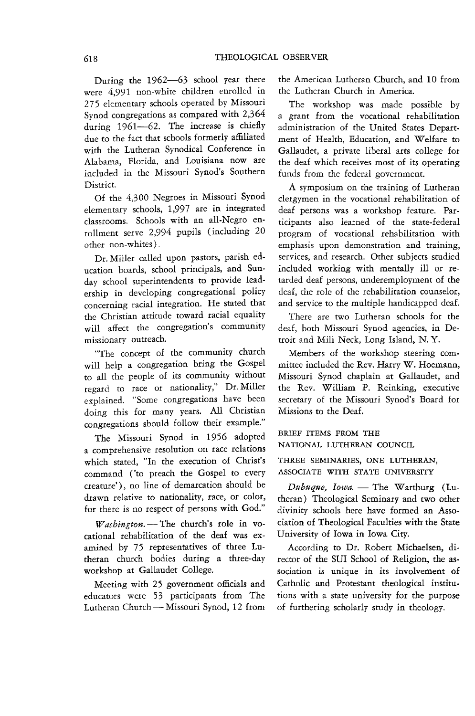During the 1962-63 school year there were 4,991 non-white children enrolled in 275 elementary schools operated by Missouri Synod congregations as compared with 2,364 during 1961-62. The increase is chiefly due to the fact that schools formerly affiliated with the Lutheran Synodical Conference in Alabama, Florida, and Louisiana now are included in the Missouri Synod's Southern District.

Of the 4,300 Negroes in Missouri Synod elementary schools, 1,997 are in integrated classrooms. Schools with an all-Negro enrollment serve 2,994 pupils (including 20 other non-whites).

Dr. Miller called upon pastors, parish education boards, school principals, and Sunday school superintendents to provide leadership in developing congregational policy concerning racial integration. He stated that the Christian attitude toward racial equality will affect the congregation's community missionary outreach.

"The concept of the community church will help a congregation bring the Gospel to all the people of its community without regard to race or nationality," Dr. Miller explained. "Some congregations have been doing this for many years. All Christian congregations should follow their example."

The Missouri Synod in 1956 adopted a comprehensive resolution on race relations which stated, "In the execution of Christ's command ('to preach the Gospel to every creature' ), no line of demarcation should be drawn relative to nationality, race, or color, for there is no respect of persons with God."

*Washington.-The* church's role in vocational rehabilitation of the deaf was examined by 75 representatives of three Lutheran church bodies during a three-day workshop at Gallaudet College.

Meeting with 25 government officials and educators were 53 participants from The Lutheran Church - Missouri Synod, 12 from

the American Lutheran Church, and 10 from the Lutheran Church in America.

The workshop was made possible by a grant from the vocational rehabilitation administration of the United States Department of Health, Education, and Welfare to Gallaudet, a private liberal arts college for the deaf which receives most of its operating funds from the federal government.

A symposium on the training of Lutheran clergymen in the vocational rehabilitation of deaf persons was a workshop feature. Participants also learned of the state-federal program of vocational rehabilitation with emphasis upon demonstration and training, services, and research. Other subjects studied included working with mentally ill or retarded deaf persons, underemployment of the deaf, the role of the rehabilitation counselor, and service to the multiple handicapped deaf.

There are two Lutheran schools for the deaf, both Missouri Synod agencies, in Detroit and Mill Neck, Long Island, N. Y.

Members of the workshop steering committee included the Rev. Harry W. Hoemann, Missouri Synod chaplain at Gallaudet, and the Rev. William P. Reinking, executive secretary of the Missouri Synod's Board for Missions to the Deaf.

BRIEF ITEMS FROM THE NATIONAL LUTHERAN COUNCIL

#### THREE SEMINARIES, ONE LUTHERAN, ASSOCIATE WITH STATE UNIVERSITY

*Dubuque, Iowa.* - The Wartburg (Lutheran) Theological Seminary and two other divinity schools here have formed an Association of Theological Faculties with the State University of Iowa in Iowa City.

According to Dr. Robert Michaelsen, director of the SUI School of Religion, the association is unique in its involvement of Catholic and Protestant theological institutions with a state university for the purpose of furthering scholarly study in theology.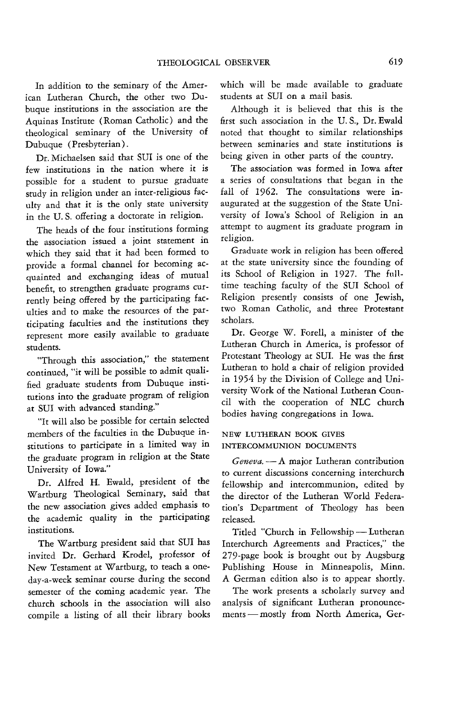In addition to the seminary of the American Lutheran Church, the other two Dubuque institutions in the association are the Aquinas Institute (Roman Catholic) and the theological seminary of the University of Dubuque (Presbyterian).

Dr. Michaelsen said that SUI is one of the few institutions in the nation where it is possible for a student to pursue graduate study in religion under an inter-religious faculty and that it is the only state university in the U. S. offering a doctorate in religion.

The heads of the four institutions forming the association issued a joint statement in which they said that it had been formed to provide a formal channel for becoming acquainted and exchanging ideas of mutual benefit, to strengthen graduate programs currently being offered by the participating faculties and to make the resources of the participating faculties and the institutions they represent more easily available to graduate students.

"Through this association," the statement continued, "it will be possible to admit qualified graduate students from Dubuque institutions into the graduate program of religion at SUI with advanced standing."

"It will also be possible for certain selected members of the faculties in the Dubuque institutions to participate in a limited way in the graduate program in religion at the State University of Iowa."

Dr. Alfred H. Ewald, president of the Wartburg Theological Seminary, said that the new association gives added emphasis to the academic quality in the participating institutions.

The Wartburg president said that SUI has invited Dr. Gerhard Krodel, professor of New Testament at Wartburg, to teach a oneday-a-week seminar course during the second semester of the coming academic year. The church schools in the association will also compile a listing of all their library books which will be made available to graduate students at SUI on a mail basis.

Although it is believed that this is the first such association in the U. S., Dr. Ewald noted that thought to similar relationships between seminaries and state institutions is being given in other parts of the country.

The association was formed in Iowa after a series of consultations that began in the fall of 1962. The consultations were inaugurated at the suggestion of the State University of Iowa's School of Religion in an attempt to augment its graduate program in religion.

Graduate work in religion has been offered at the state university since the founding of its School of Religion in 1927. The fnlltime teaching faculty of the SUI School of Religion presently consists of one Jewish, two Roman Catholic, and three Protestant scholars.

Dr. George W. Forell, a minister of the Lutheran Church in America, *is* professor of Protestant Theology at SUI. He was the first Lutheran to hold a chair of religion provided in 1954 by the Division of College and University Work of the National Lutheran Council with the cooperation of NLC church bodies having congregations in Iowa.

#### NEW LUTHERAN BOOK GIVES INTERCOMMUNION DOCUMENTS

*Geneva.* - A major Lutheran contribution to current discussions concerning interchurch fellowship and intercommunion, edited by the director of the Lutheran World Federation's Department of Theology has been released.

Titled "Church in Fellowship - Lutheran Interchurch Agreements and Practices," the 279-page book is brought out by Augsburg Publishing House in Minneapolis, Minn. A German edition also is to appear shortly.

The work presents a scholarly survey and analysis of significant Lutheran pronouncements - mostly from North America, Ger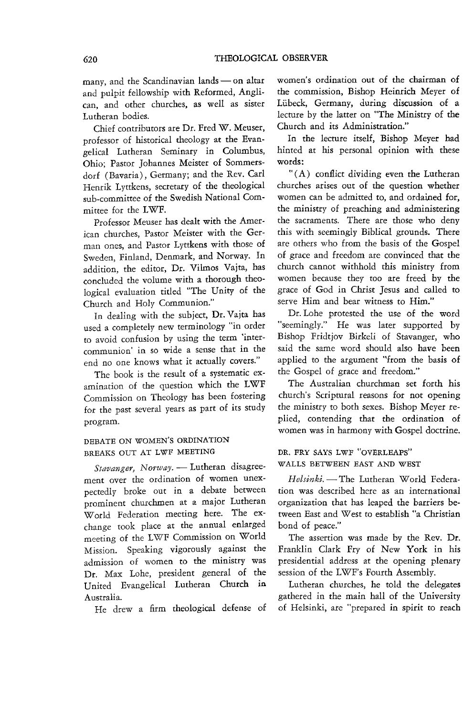many, and the Scandinavian lands - on altar and pulpit fellowship with Reformed, Anglican, and other churches, as well as sister Lutheran bodies.

Chief contributors are Dr. Fred W. Meuser, professor of historical theology at the Evangelical Lutheran Seminary in Columbus, Ohio; Pastor Johannes Meister of Sommersdorf (Bavaria), Germany; and the Rev. Carl Henrik Lyttkens, secretary of the theological sub-committee of the Swedish National Committee for the LWF.

Professor Meuser has dealt with the American churches, Pastor Meister with the German ones, and Pastor Lyttkens with those of Sweden, Finland, Denmark, and Norway. In addition, the editor, Dr. Vilmos Vajta, has concluded the volume with a thorough theological evaluation titled "The Unity of the Church and Holy Communion."

In dealing with the subject, Dr. Vajta has used a completely new terminology "in order to avoid confusion by using the term 'intercommunion' in so wide a sense that in the end no one knows what it actually covers."

The book is the result of a systematic examination of the question which the LWF Commission on Theology has been fostering for the past several years as part of its study program.

#### DEBATE ON WOMEN'S ORDINATION BREAKS OUT AT LWF MEETING

Stavanger, Norway. - Lutheran disagreement over the ordination of women unexpectedly broke out in a debate between prominent churchmen at a major Lutheran \'V orld Federation meeting here. The exchange took place at the annual enlarged meeting of the LWF Commission on World Mission. Speaking vigorously against the admission of women to the ministry was Dr. Max Lohe, president general of the United Evangelical Lutheran Church in Australia.

He drew a firm theological defense of

women's ordination out of the chairman of the commission, Bishop Heinrich Meyer of Lübeck, Germany, during discussion of a lecture by the latter on "The Ministry of the Church and its Administration."

In the lecture itself, Bishop Meyer had hinted at his personal opinion with these words:

 $f(A)$  conflict dividing even the Lutheran churches arises out of the question whether women can be admitted to, and ordained for, the ministry of preaching and administering the sacraments. There are those who deny this with seemingly Biblical grounds. There are others who from the basis of the Gospel of grace and freedom are convinced that the church cannot withhold this ministry from women because they too are freed by the grace of God in Christ Jesus and called to serve Him and bear witness to Him."

Dr. Lohe protested the use of the word "seemingly." He was later supported by Bishop Fridtjov Birkeli of Stavanger, who said the same word should also have been applied to the argument "from the basis of the Gospel of grace and freedom."

The Australian churchman set forth his church's Scriptural reasons for not opening the ministry to both sexes. Bishop Meyer replied, contending that the ordination of women was in harmony with Gospel doctrine.

DR. FRY SAYS LWF "OVERLEAPS" WALLS BETWEEN EAST AND WEST

Helsinki. - The Lutheran World Federation was described here as an international organization that has leaped the barriers between East and West to establish "a Christian bond of peace."

The assertion was made by the Rev. Dr. Franklin Clark Fry of New York in his presidential address at the opening plenary session of the LWF's Fourth Assembly.

Lutheran churches, he told the delegates gathered in the main hall of the University of Helsinki, are "prepared in spirit to reach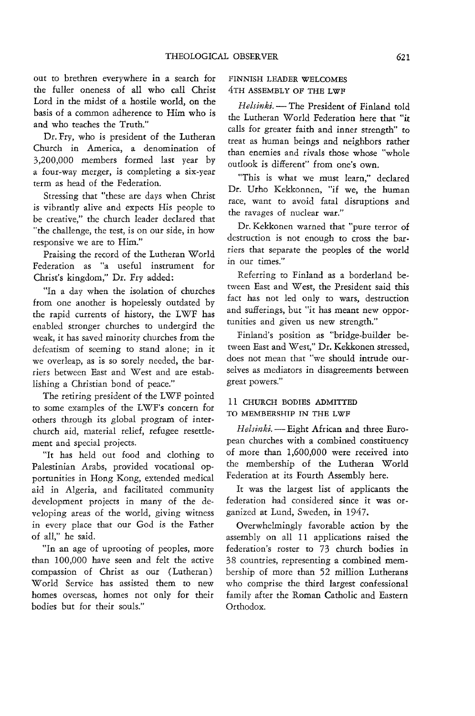out to brethren everywhere in a search for the fuller oneness of all who call Christ Lord in the midst of a hostile world, on the basis of a common adherence to Him who is and who teaches the Truth."

Dr. Fry, who is president of the Lutheran Church in America, a denomination of 3,200,000 members formed last year by a four-way merger, is completing a six-year term as head of the Federation.

Stressing that "these are days when Christ is vibrantly alive and expects His people to be creative," the church leader declared that "the challenge, the test, is on our side, in how responsive we are to Him."

Praising the record of the Lutheran World Federation as "a useful instrument for Christ's kingdom;' Dr. Fry added:

"In a day when the isolation of churches from one another is hopelessly outdated by the rapid currents of history, the LWF has enabled stronger churches to undergird the weak, it has saved minority churches from the defeatism of seeming to stand alone; in it we overleap, as is so sorely needed, the barriers between East and West and are establishing a Christian bond of peace."

The retiring president of the LWF pointed to some examples of the LWF's concern for others through its global program of interchurch aid, material relief, refugee resettlement and special projects.

"It has held out food and clothing to Palestinian Arabs, provided vocational opportunities in Hong Kong, extended medical aid in Algeria, and facilitated community development projects in many of the developing areas of the world, giving witness in every place that our God is the Father of all," he said.

"In an age of uprooting of peoples, more than 100,000 have seen and felt the active compassion of Christ as our (Lutheran) World Service has assisted them to new homes overseas, homes not only for their bodies but for their souls."

#### FINNISH LEADER WELCOMES 4TH ASSEMBLY OF THE LWF

Helsinki. - The President of Finland told the Lutheran World Federation here that "it calls for greater faith and inner strength" to treat as human beings and neighbors rather than enemies and rivals those whose "whole outlook *is* different" from one's own.

"This *is* what we must learn," declared Dr. Urho Kekkonnen, "if we, the human race, want to avoid fatal disruptions and the ravages of nuclear war."

Dr. Kekkonen warned that "pure terror of destruction *is* not enough to cross the barriers that separate the peoples of the world in our times."

Referring to Finland as a borderland between East and West, the President said this fact has not led only to wars, destruction and sufferings, but "it has meant new opportunities and given us new strength."

Finland's position as "bridge-builder between East and West," Dr. Kekkonen stressed, does not mean that "we should intrude ourselves as mediators in disagreements between great powers."

#### 11 CHURCH BODIES ADMITTED TO MEMBERSHIP IN THE LWF

*Helsinki.* -- Eight African and three European churches with a combined constituency of more than 1,600,000 were received into the membership of the Lutheran World Federation at its Fourth Assembly here.

It was the largest list of applicants the federation had considered since it was organized at Lund, Sweden, in 1947.

Overwhelmingly favorable action by the assembly on all 11 applications raised the federation's roster to 73 church bodies in 38 countries, representing a combined membership of more than 52 million Lutherans who comprise the third largest confessional family after the Roman Catholic and Eastern Orthodox.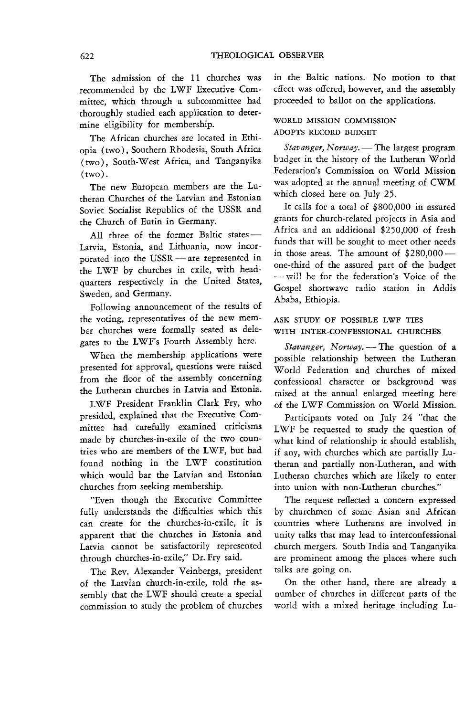The admission of the 11 churches was recommended by the LWF Executive Committee, which through a subcommittee had thoroughly studied each application to determine eligibility for membership.

The African churches are located in Ethiopia (two), Southern Rhodesia, South Africa (two), South-West Africa, and Tanganyika  $(two)$ .

The new European members are the Lutheran Churches of the Latvian and Estonian Soviet Socialist Republics of the USSR and the Church of Eutin in Germany.

All three of the former Baltic states-Latvia, Estonia, and Lithuania, now incorporated into the USSR - are represented in the LWF by churches in exile, with headquarters respectively in the United States, Sweden, and Germany.

Following announcement of the results of the voting, representatives of the new member churches were formally seated as delegates to the LWF's Fourth Assembly here.

When the membership applications were presented for approval, questions were raised from the floor of the assembly concerning the Lutheran churches in Latvia and Estonia.

LWF President Franklin Clark Fry, who presided, explained that the Executive Committee had carefully examined criticisms made by churches-in-exile of the two countries who are members of the LWF, but had found nothing in the LWF constitution which would bar the Latvian and Estonian churches from seeking membership.

"Even though the Executive Committee fully understands the difficulties which this can create for the churches-in-exile, it is apparent that the churches in Estonia and Latvia cannot be satisfactorily represented through churches-in-exile," Dr. Fry said.

The Rev. Alexander Veinbergs, president of the Latvian church-in-exile, told the assembly that the LWF should create a special commission to study the problem of churches in the Baltic nations. No motion to that effect was offered, however, and the assembly proceeded to ballot on the applications.

#### WORLD MISSION COMMISSION ADOPTS RECORD BUDGET

*Stavanger, Norway.* - The largest program budget in the history of the Lutheran World Federation's Commission on World Mission was adopted at the annual meeting of CWM which closed here on July 25.

It calls for a total of \$800,000 in assured grants for church-related projects in Asia and Africa and an additional \$250,000 of fresh funds that will be sought to meet other needs in those areas. The amount of  $$280,000$  one-third of the assured part of the budget -will be for the federation's Voice of the Gospel shortwave radio station in Addis Ababa, Ethiopia.

#### ASK STUDY OF POSSIBLE LWF TIES WITH INTER-CONFESSIONAL CHURCHES

*Stavanger, Norway.* - The question of a possible relationship between the Lutheran World Federation and churches of mixed confessional character or background was raised at the annual enlarged meeting here of the LWF Commission on World Mission.

Participants voted on July 24 "that the LWF be requested to study the question of what kind of relationship it should establish, if any, with churches which are partially Lutheran and partially non-Lutheran, and with Lutheran churches which are likely to enter into union with non-Lutheran churches."

The request reflected a concern expressed by churchmen of some Asian and African countries where Lutherans are involved in unity talks that may lead to interconfessional church mergers. South India and Tanganyika are prominent among the places where such talks are going on.

On the other hand, there are already a number of churches in different parts of the world with a mixed heritage including Lu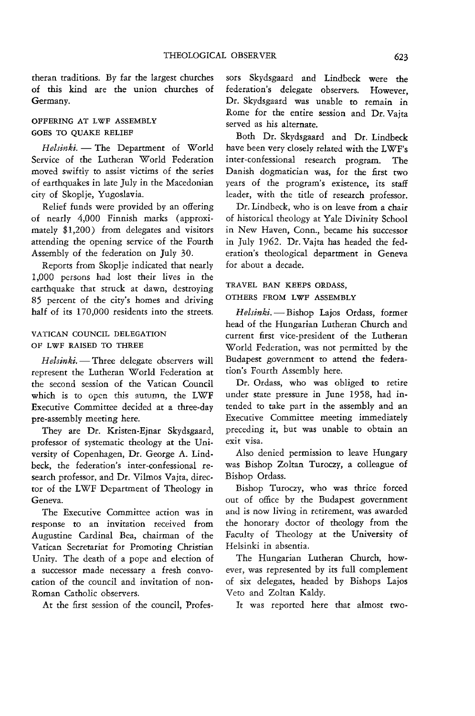theran traditions. By far the largest churches of this kind are the union churches of Germany.

#### OFFERING AT LWF ASSEMBLY GOES TO QUAKE RELIEF

*Helsinki.* - The Department of World Service of the Lutheran World Federation moved swiftly to assist victims of the series of earthquakes in late July in the Macedonian city of Skoplje, Yugoslavia.

Relief funds were provided by an offering of nearly 4,000 Finnish marks (approximately \$1,200) from delegates and visitors attending the opening service of the Fourth Assembly of the federation on July *30.* 

Reports from Skoplje indicated that nearly 1,000 persons had lost their lives in the earthquake that struck at dawn, destroying 85 percent of the city's homes and driving half of its 170,000 residents into the streets.

#### VATICAN COUNCIL DELEGATION OF LWF RAISED TO THREE

*Helsinki.* - Three delegate observers will represent the Lutheran World Federation at the second session of the Vatican Council which is to open this autumn, the LWF Executive Committee decided at a three-day pre-assembly meeting here.

They are Dr. Kristen-Ejnar Skydsgaard, professor of systematic theology at the University of Copenhagen, Dr. George A. Lindbeck, the federation's inter-confessional research professor, and Dr. Vilmos Vajta, director of the LWF Department of Theology in Geneva.

The Executive Committee action was in response to an invitation received from Augustine Cardinal Bea, chairman of the Vatican Secretariat for Promoting Christian Unity. The death of a pope and election of a successor made necessary a fresh convocation of the council and invitation of non-Roman Catholic observers.

At the first session of the council, Profes-

sors Skydsgaard and Lindbeck were the federation's delegate observers. However, Dr. Skydsgaard was unable to remain in Rome for the entire session and Dr. Vajta served as his alternate.

Both Dr. Skydsgaard and Dr. Lindbeck have been very closely related with the LWF's inter-confessional research program. The Danish dogmatician was, for the first two years of the program's existence, its staff leader, with the title of research professor.

Dr. Lindbeck, who is on leave from a chair of historical theology at Yale Divinity School in New Haven, Conn., became his successor in July 1962. Dr. Vajta has headed the federation's theological department in Geneva for about a decade.

TRAVEL BAN KEEPS ORDASS, OTHERS FROM LWF ASSEMBLY

*Helsinki.* - Bishop Lajos Ordass, former head of the Hungarian Lutheran Church and current first vice-president of the Lutheran World Federation, was not permitted by the Budapest government to attend the federation's Fourth Assembly here.

Dr. Ordass, who was obliged to retire under state pressure in June 1958, had intended to take part in the assembly and an Executive Committee meeting immediately preceding it, but was unable to obtain an exit visa.

Also denied permission to leave Hungary was Bishop Zoltan Turoczy, a colleague of Bishop Ordass.

Bishop Turoczy, who was thrice forced out of office by the Budapest government and is now living in retirement, was awarded the honorary doctor of theology from the Faculty of Theology at the University of Helsinki in absentia.

The Hungarian Lutheran Church, however, was represented by its full complement of six delegates, headed by Bishops Lajos Veto and Zoltan Kaldy.

It was reported here that almost two-